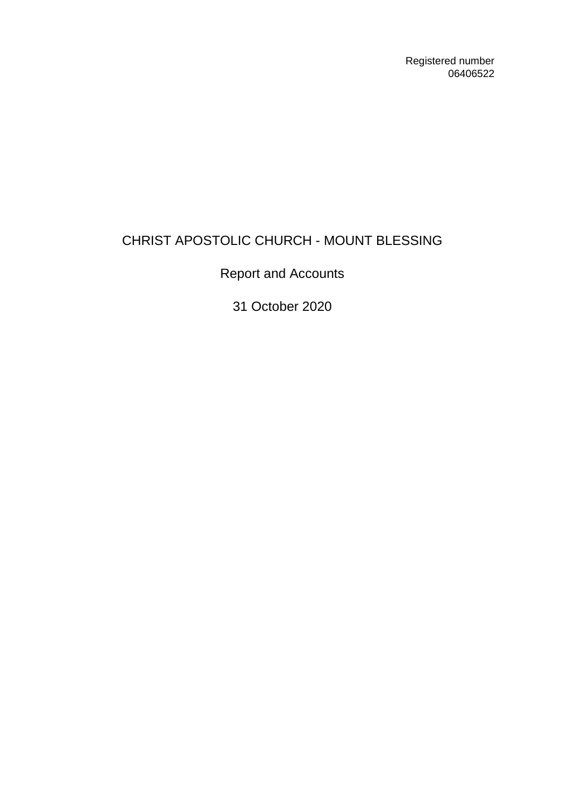Registered number 06406522

# CHRIST APOSTOLIC CHURCH - MOUNT BLESSING

Report and Accounts

31 October 2020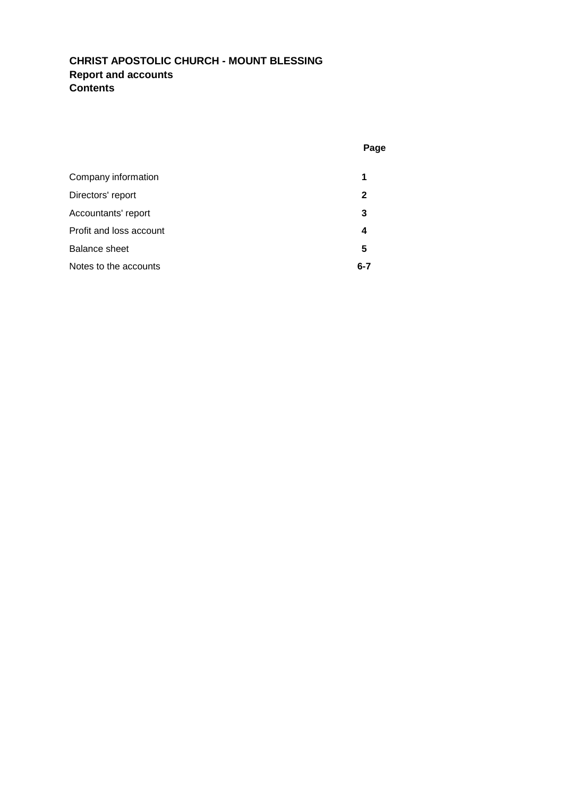## **CHRIST APOSTOLIC CHURCH - MOUNT BLESSING Report and accounts Contents**

|                         | Page    |
|-------------------------|---------|
| Company information     | 1       |
| Directors' report       | 2       |
| Accountants' report     | 3       |
| Profit and loss account | 4       |
| Balance sheet           | 5       |
| Notes to the accounts   | $6 - 7$ |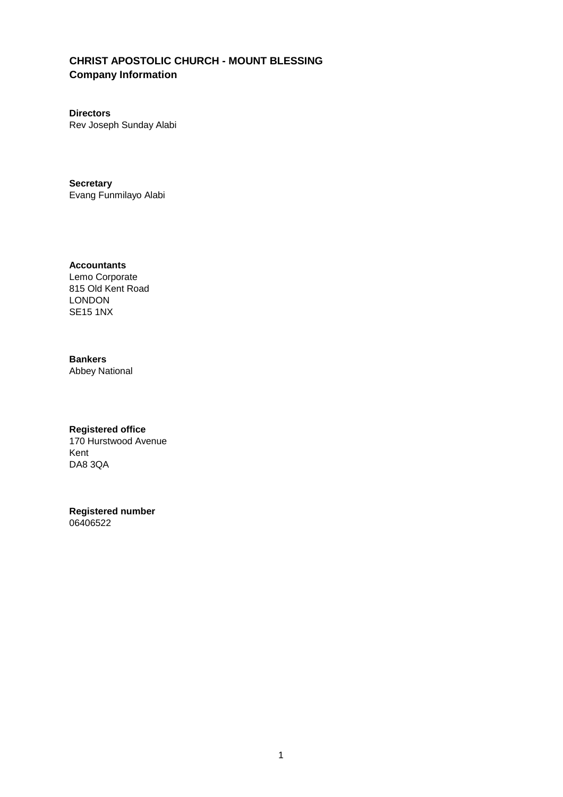## **CHRIST APOSTOLIC CHURCH - MOUNT BLESSING Company Information**

**Directors** Rev Joseph Sunday Alabi

**Secretary** Evang Funmilayo Alabi

**Accountants** Lemo Corporate 815 Old Kent Road LONDON SE15 1NX

### **Bankers**

Abbey National

#### **Registered office**

170 Hurstwood Avenue Kent DA8 3QA

## **Registered number**

06406522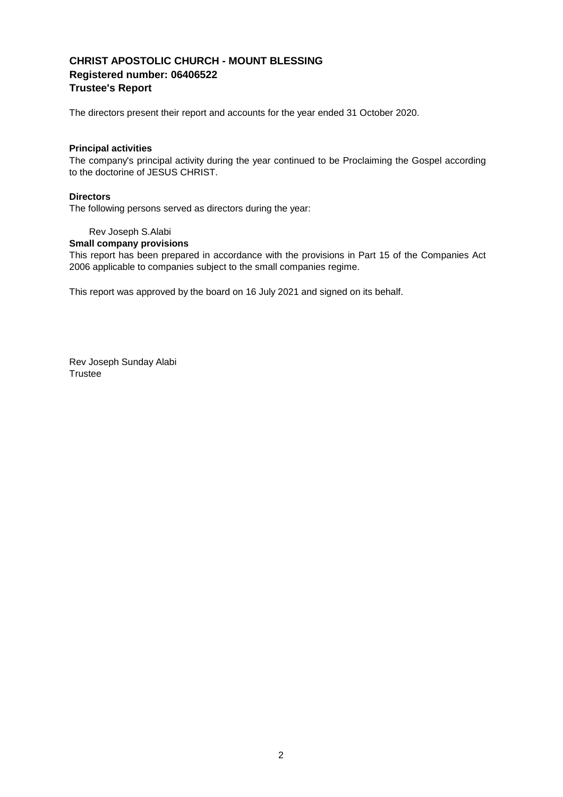### **CHRIST APOSTOLIC CHURCH - MOUNT BLESSING Registered number: 06406522 Trustee's Report**

The directors present their report and accounts for the year ended 31 October 2020.

#### **Principal activities**

The company's principal activity during the year continued to be Proclaiming the Gospel according to the doctorine of JESUS CHRIST.

#### **Directors**

The following persons served as directors during the year:

#### Rev Joseph S.Alabi

#### **Small company provisions**

This report has been prepared in accordance with the provisions in Part 15 of the Companies Act 2006 applicable to companies subject to the small companies regime.

This report was approved by the board on 16 July 2021 and signed on its behalf.

Rev Joseph Sunday Alabi **Trustee**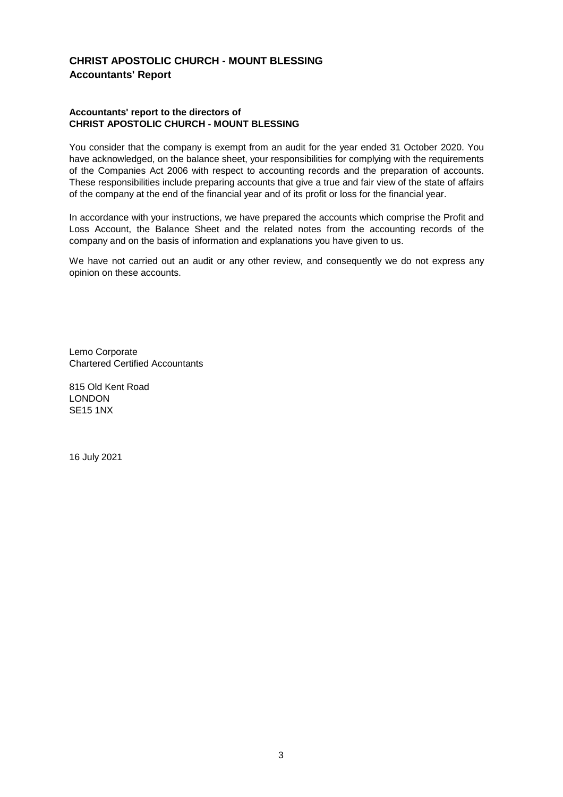### **CHRIST APOSTOLIC CHURCH - MOUNT BLESSING Accountants' Report**

#### **Accountants' report to the directors of CHRIST APOSTOLIC CHURCH - MOUNT BLESSING**

You consider that the company is exempt from an audit for the year ended 31 October 2020. You have acknowledged, on the balance sheet, your responsibilities for complying with the requirements of the Companies Act 2006 with respect to accounting records and the preparation of accounts. These responsibilities include preparing accounts that give a true and fair view of the state of affairs of the company at the end of the financial year and of its profit or loss for the financial year.

In accordance with your instructions, we have prepared the accounts which comprise the Profit and Loss Account, the Balance Sheet and the related notes from the accounting records of the company and on the basis of information and explanations you have given to us.

We have not carried out an audit or any other review, and consequently we do not express any opinion on these accounts.

Lemo Corporate Chartered Certified Accountants

815 Old Kent Road LONDON SE15 1NX

16 July 2021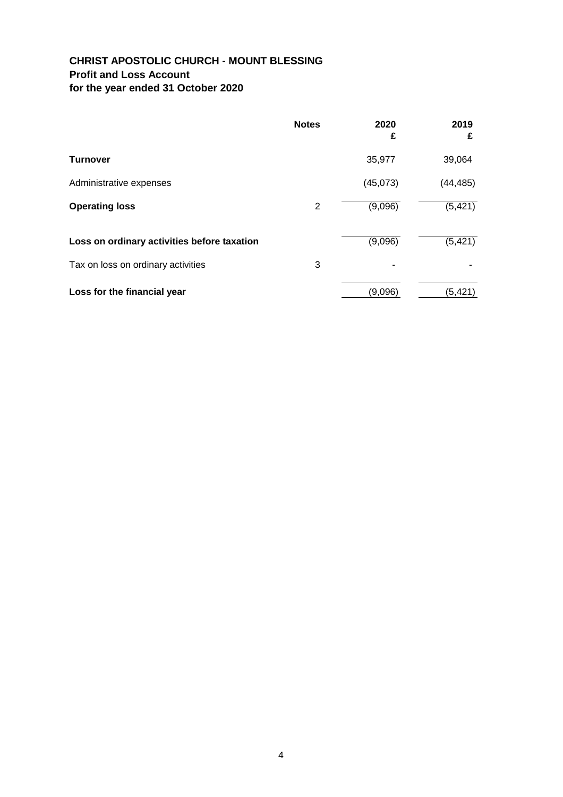## **CHRIST APOSTOLIC CHURCH - MOUNT BLESSING Profit and Loss Account for the year ended 31 October 2020**

|                                             | <b>Notes</b> | 2020<br>£ | 2019<br>£ |
|---------------------------------------------|--------------|-----------|-----------|
| <b>Turnover</b>                             |              | 35,977    | 39,064    |
| Administrative expenses                     |              | (45,073)  | (44, 485) |
| <b>Operating loss</b>                       | 2            | (9,096)   | (5, 421)  |
| Loss on ordinary activities before taxation |              | (9,096)   | (5, 421)  |
| Tax on loss on ordinary activities          | 3            |           |           |
| Loss for the financial year                 |              | (9,096)   | (5, 421)  |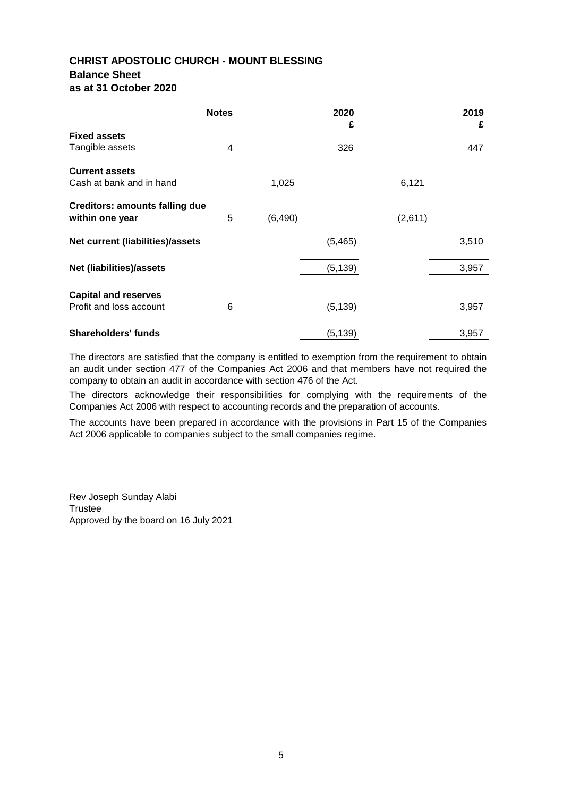### **CHRIST APOSTOLIC CHURCH - MOUNT BLESSING Balance Sheet as at 31 October 2020**

|                                       | <b>Notes</b> |          | 2020<br>£ |         | 2019<br>£ |
|---------------------------------------|--------------|----------|-----------|---------|-----------|
| <b>Fixed assets</b>                   |              |          |           |         |           |
| Tangible assets                       | 4            |          | 326       |         | 447       |
| <b>Current assets</b>                 |              |          |           |         |           |
| Cash at bank and in hand              |              | 1,025    |           | 6,121   |           |
| <b>Creditors: amounts falling due</b> |              |          |           |         |           |
| within one year                       | 5            | (6, 490) |           | (2,611) |           |
| Net current (liabilities)/assets      |              |          | (5, 465)  |         | 3,510     |
| <b>Net (liabilities)/assets</b>       |              |          | (5, 139)  |         | 3,957     |
| <b>Capital and reserves</b>           |              |          |           |         |           |
| Profit and loss account               | 6            |          | (5, 139)  |         | 3,957     |
| <b>Shareholders' funds</b>            |              |          | (5, 139)  |         | 3,957     |

The directors are satisfied that the company is entitled to exemption from the requirement to obtain an audit under section 477 of the Companies Act 2006 and that members have not required the company to obtain an audit in accordance with section 476 of the Act.

The directors acknowledge their responsibilities for complying with the requirements of the Companies Act 2006 with respect to accounting records and the preparation of accounts.

The accounts have been prepared in accordance with the provisions in Part 15 of the Companies Act 2006 applicable to companies subject to the small companies regime.

Rev Joseph Sunday Alabi Trustee Approved by the board on 16 July 2021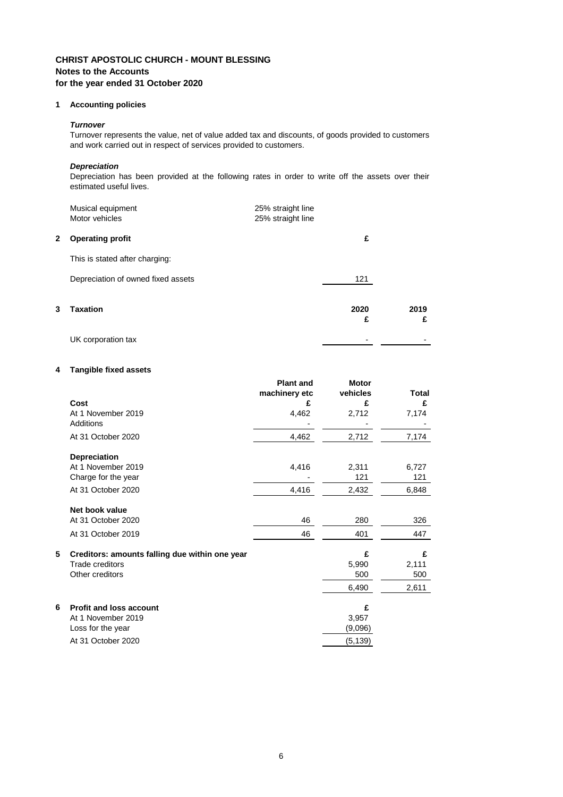## **CHRIST APOSTOLIC CHURCH - MOUNT BLESSING Notes to the Accounts for the year ended 31 October 2020**

### **1 Accounting policies**

#### *Turnover*

Turnover represents the value, net of value added tax and discounts, of goods provided to customers and work carried out in respect of services provided to customers.

### *Depreciation*

Depreciation has been provided at the following rates in order to write off the assets over their estimated useful lives.

|   | Musical equipment<br>Motor vehicles | 25% straight line<br>25% straight line |           |           |
|---|-------------------------------------|----------------------------------------|-----------|-----------|
| 2 | <b>Operating profit</b>             |                                        | £         |           |
|   | This is stated after charging:      |                                        |           |           |
|   | Depreciation of owned fixed assets  |                                        | 121       |           |
| 3 | <b>Taxation</b>                     |                                        | 2020<br>£ | 2019<br>£ |
|   | UK corporation tax                  |                                        |           |           |

#### **4 Tangible fixed assets**

|   |                                                | <b>Plant and</b><br>machinery etc | <b>Motor</b><br>vehicles | <b>Total</b> |
|---|------------------------------------------------|-----------------------------------|--------------------------|--------------|
|   | Cost                                           | £                                 | £                        | £            |
|   | At 1 November 2019                             | 4,462                             | 2,712                    | 7,174        |
|   | Additions                                      |                                   |                          |              |
|   | At 31 October 2020                             | 4,462                             | 2,712                    | 7,174        |
|   | <b>Depreciation</b>                            |                                   |                          |              |
|   | At 1 November 2019                             | 4,416                             | 2,311                    | 6,727        |
|   | Charge for the year                            |                                   | 121                      | 121          |
|   | At 31 October 2020                             | 4,416                             | 2,432                    | 6,848        |
|   | Net book value                                 |                                   |                          |              |
|   | At 31 October 2020                             | 46                                | 280                      | 326          |
|   | At 31 October 2019                             | 46                                | 401                      | 447          |
| 5 | Creditors: amounts falling due within one year |                                   | £                        | £            |
|   | <b>Trade creditors</b>                         |                                   | 5,990                    | 2,111        |
|   | Other creditors                                |                                   | 500                      | 500          |
|   |                                                |                                   | 6,490                    | 2,611        |
| 6 | <b>Profit and loss account</b>                 |                                   | £                        |              |
|   | At 1 November 2019                             |                                   | 3,957                    |              |
|   | Loss for the year                              |                                   | (9,096)                  |              |
|   | At 31 October 2020                             |                                   | (5, 139)                 |              |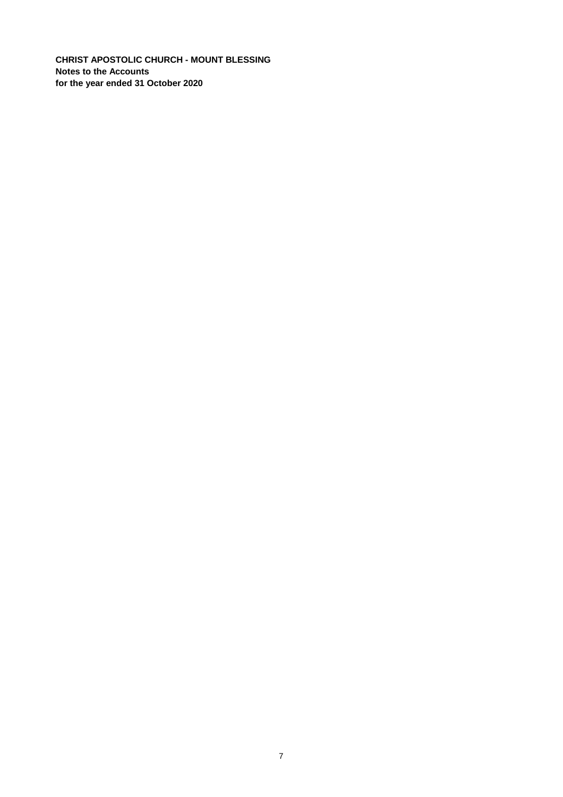**CHRIST APOSTOLIC CHURCH - MOUNT BLESSING Notes to the Accounts for the year ended 31 October 2020**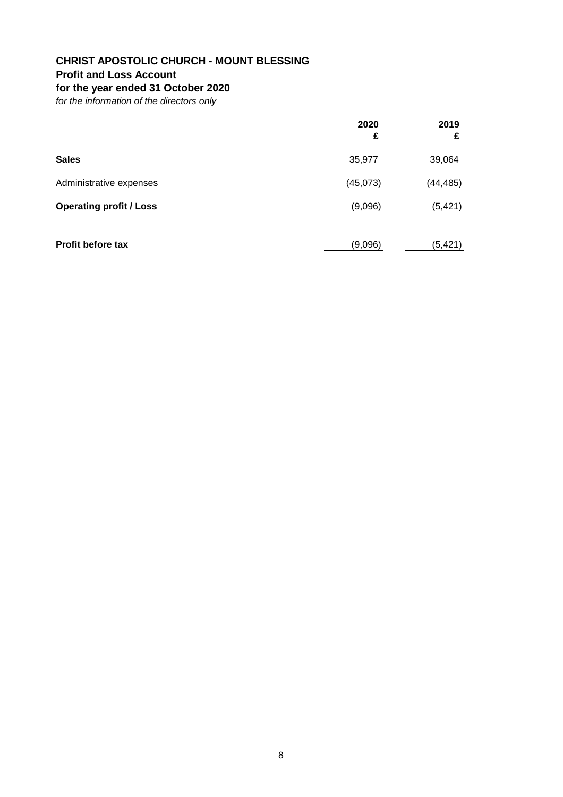## **CHRIST APOSTOLIC CHURCH - MOUNT BLESSING**

## **Profit and Loss Account**

## **for the year ended 31 October 2020**

*for the information of the directors only*

|                                | 2020<br>£ | 2019<br>£ |
|--------------------------------|-----------|-----------|
| <b>Sales</b>                   | 35,977    | 39,064    |
| Administrative expenses        | (45,073)  | (44, 485) |
| <b>Operating profit / Loss</b> | (9,096)   | (5, 421)  |
| <b>Profit before tax</b>       | (9,096)   | (5, 421)  |
|                                |           |           |